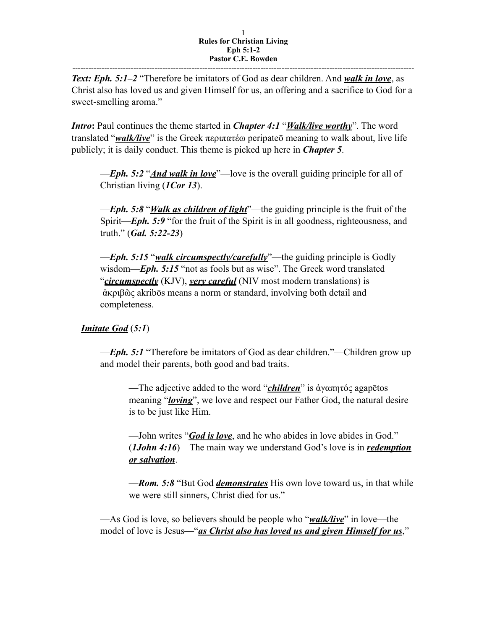*Text: Eph. 5:1–2* "Therefore be imitators of God as dear children. And *walk in love*, as Christ also has loved us and given Himself for us, an offering and a sacrifice to God for a sweet-smelling aroma."

*Intro***:** Paul continues the theme started in *Chapter 4:1* "*Walk/live worthy*". The word translated "*walk/live*" is the Greek περιπατέω peripateō meaning to walk about, live life publicly; it is daily conduct. This theme is picked up here in *Chapter 5*.

—*Eph. 5:2* "*And walk in love*"—love is the overall guiding principle for all of Christian living (*1Cor 13*).

—*Eph. 5:8* "*Walk as children of light*"—the guiding principle is the fruit of the Spirit—*Eph.* 5:9 "for the fruit of the Spirit is in all goodness, righteousness, and truth." (*Gal. 5:22-23*)

—*Eph. 5:15* "*walk circumspectly/carefully*"—the guiding principle is Godly wisdom—*Eph.* 5:15 "not as fools but as wise". The Greek word translated "*circumspectly* (KJV), *very careful* (NIV most modern translations) is ἀκριβῶς akribōs means a norm or standard, involving both detail and completeness.

—*Imitate God* (*5:1*)

—*Eph. 5:1* "Therefore be imitators of God as dear children."—Children grow up and model their parents, both good and bad traits.

—The adjective added to the word "*children*" is ἀγαπητός agapētos meaning "*loving*", we love and respect our Father God, the natural desire is to be just like Him.

—John writes "*God is love*, and he who abides in love abides in God." (*1John 4:16*)—The main way we understand God's love is in *redemption or salvation*.

—*Rom. 5:8* "But God *demonstrates* His own love toward us, in that while we were still sinners, Christ died for us."

—As God is love, so believers should be people who "*walk/live*" in love—the model of love is Jesus—"*as Christ also has loved us and given Himself for us*,"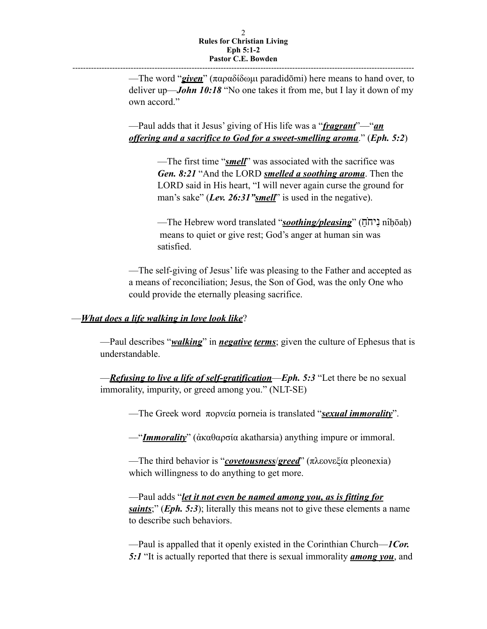---------------------------------------------------------------------------------------------------------------------------------

—The word "*given*" (παραδίδωµι paradidōmi) here means to hand over, to deliver up—*John 10:18* "No one takes it from me, but I lay it down of my own accord."

—Paul adds that it Jesus' giving of His life was a "*fragrant*"—"*an offering and a sacrifice to God for a sweet-smelling aroma*." (*Eph. 5:2*)

> —The first time "*smell*" was associated with the sacrifice was *Gen. 8:21* "And the LORD *smelled a soothing aroma*. Then the LORD said in His heart, "I will never again curse the ground for man's sake" (*Lev. 26:31"smell*" is used in the negative).

—The Hebrew word translated "*soothing/pleasing*" (חֹחָ) nîḥōaḥ) means to quiet or give rest; God's anger at human sin was satisfied.

—The self-giving of Jesus' life was pleasing to the Father and accepted as a means of reconciliation; Jesus, the Son of God, was the only One who could provide the eternally pleasing sacrifice.

## —*What does a life walking in love look like*?

—Paul describes "*walking*" in *negative terms*; given the culture of Ephesus that is understandable.

—*Refusing to live a life of self-gratification*—*Eph. 5:3* "Let there be no sexual immorality, impurity, or greed among you." (NLT-SE)

—The Greek word πορνεία porneia is translated "*sexual immorality*".

—"*Immorality*" (ἀκαθαρσία akatharsia) anything impure or immoral.

—The third behavior is "*covetousness*/*greed*" (πλεονεξία pleonexia) which willingness to do anything to get more.

—Paul adds "*let it not even be named among you, as is fitting for saints*;" (*Eph. 5:3*); literally this means not to give these elements a name to describe such behaviors.

—Paul is appalled that it openly existed in the Corinthian Church—*1Cor. 5:1* "It is actually reported that there is sexual immorality *among you*, and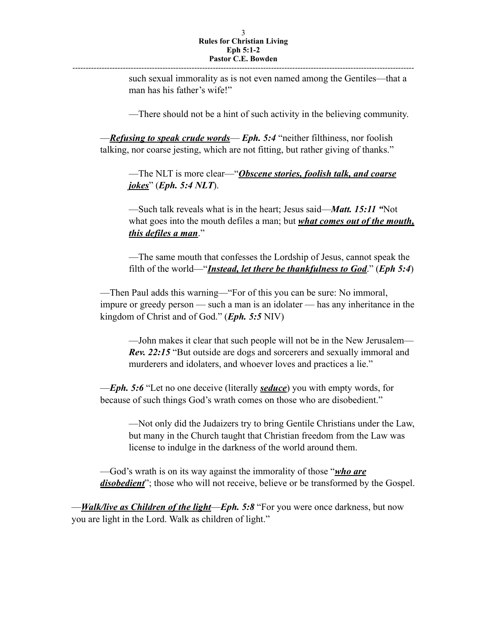---------------------------------------------------------------------------------------------------------------------------------

such sexual immorality as is not even named among the Gentiles—that a man has his father's wife!"

—There should not be a hint of such activity in the believing community.

—*Refusing to speak crude words*— *Eph. 5:4* "neither filthiness, nor foolish talking, nor coarse jesting, which are not fitting, but rather giving of thanks."

—The NLT is more clear—"*Obscene stories, foolish talk, and coarse jokes*" (*Eph. 5:4 NLT*).

—Such talk reveals what is in the heart; Jesus said—*Matt. 15:11 "*Not what goes into the mouth defiles a man; but *what comes out of the mouth*, *this defiles a man*."

—The same mouth that confesses the Lordship of Jesus, cannot speak the filth of the world—"*Instead, let there be thankfulness to God*." (*Eph 5:4*)

—Then Paul adds this warning—"For of this you can be sure: No immoral, impure or greedy person — such a man is an idolater — has any inheritance in the kingdom of Christ and of God." (*Eph. 5:5* NIV)

—John makes it clear that such people will not be in the New Jerusalem— *Rev. 22:15* "But outside are dogs and sorcerers and sexually immoral and murderers and idolaters, and whoever loves and practices a lie."

—*Eph. 5:6* "Let no one deceive (literally *seduce*) you with empty words, for because of such things God's wrath comes on those who are disobedient."

—Not only did the Judaizers try to bring Gentile Christians under the Law, but many in the Church taught that Christian freedom from the Law was license to indulge in the darkness of the world around them.

—God's wrath is on its way against the immorality of those "*who are disobedient*"; those who will not receive, believe or be transformed by the Gospel.

—*Walk/live as Children of the light*—*Eph. 5:8* "For you were once darkness, but now you are light in the Lord. Walk as children of light."